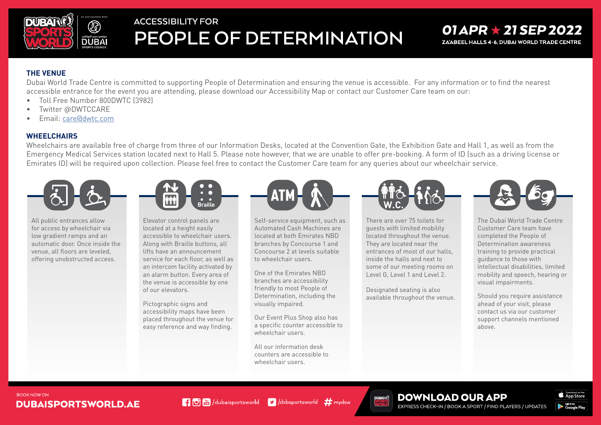

# **ACCESSIBILITY FOR PEOPLE OF DETERMINATION**

### $01$  APR  $\star$  21 SEP 2022 ZA'ABEEL HALLS 4-6. DUBAI WORLD TRADE CENTRE

#### **THE VENUE**

Dubai World Trade Centre is committed to supporting People of Determination and ensuring the venue is accessible. For any information or to find the nearest accessible entrance for the event you are attending, please download our Accessibility Map or contact our Customer Care team on our:

- Toll Free Number 800 DWTC (3982)
- Twitter @DWTCCARE
- Email: care dowtc.com

#### **WHEELCHAIRS**

Wheelchairs are available free of charge from three of our Information Desks, located at the Convention Gate, the Exhibition Gate and Hall 1, as well as from the Emergency Medical Services station located next to Hall 5. Please note however, that we are unable to offer pre-booking. A form of ID (such as a driving license or Emirates ID) will be required upon collection. Please feel free to contact the Customer Care team for any queries about our wheelchair service.



All public entrances allow for access by wheelchair via low gradient ramps and an automatic door. Once inside the venue, all floors are leveled. offering unobstructed access.



Elevator control panels are located at a height easily accessible to wheelchair users. Along with Braille buttons, all lifts have an announcement service for each floor, as well as an intercom facility activated by an alarm button. Every area of the venue is accessible by one of our elevators.

Pictographic signs and accessibility maps have been placed throughout the venue for easy reference and way finding.



Self-service equipment, such as Automated Cash Machines are  $located$  at both Emirates NBD branches by Concourse 1 and Concourse 2 at levels suitable to wheelchair users.

One of the Emirates NBD branches are accessibility friendly to most People of Determination, including the visually impaired.

Our Event Plus Shop also has a specific counter accessible to wheelchair users

All our information desk counters are accessible to wheelchair users



There are over 75 toilets for quests with limited mobility located throughout the venue. They are located near the entrances of most of our halls. inside the halls and next to some of our meeting rooms on Level G. Level 1 and Level 2.

Designated seating is also available throughout the venue.



The Dubai World Trade Centre Customer Care team have completed the People of Determination awareness training to provide practical quidance to those with intellectual disabilities, limited mobility and speech, hearing or visual impairments.

Should you require assistance ahead of your visit, please contact us via our customer support channels mentioned .above

#### **BOOK NOW ON DUBAISPORTSWORLD.AE**

**1 0 M** (dubaisportsworld **v** dxbsportsworld **#** mydsw